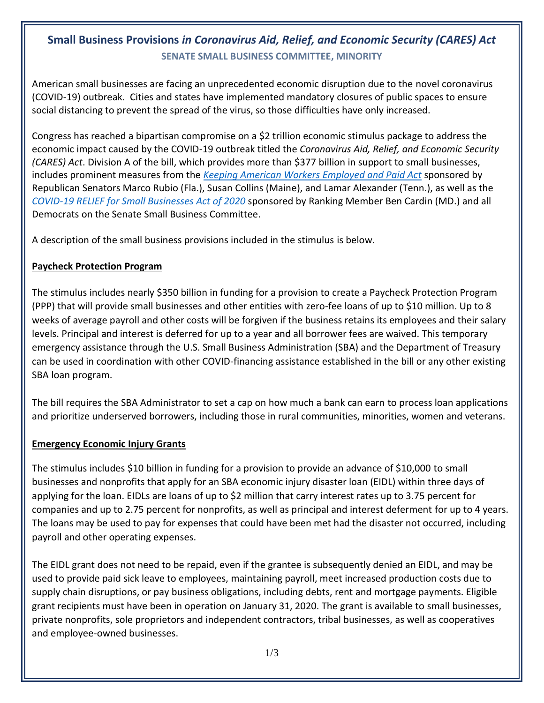# **Small Business Provisions** *in Coronavirus Aid, Relief, and Economic Security (CARES) Act* **SENATE SMALL BUSINESS COMMITTEE, MINORITY**

American small businesses are facing an unprecedented economic disruption due to the novel coronavirus (COVID-19) outbreak. Cities and states have implemented mandatory closures of public spaces to ensure social distancing to prevent the spread of the virus, so those difficulties have only increased.

Congress has reached a bipartisan compromise on a \$2 trillion economic stimulus package to address the economic impact caused by the COVID-19 outbreak titled the *Coronavirus Aid, Relief, and Economic Security (CARES) Act*. Division A of the bill, which provides more than \$377 billion in support to small businesses, includes prominent measures from the *[Keeping American Workers Employed and Paid Act](https://www.sbc.senate.gov/public/index.cfm/pressreleases?id=3B42CB4F-CF1C-4D6F-9212-290E6A19AB52)* sponsored by Republican Senators Marco Rubio (Fla.), Susan Collins (Maine), and Lamar Alexander (Tenn.), as well as the *[COVID-19 RELIEF for Small Businesses Act of 2020](https://www.sbc.senate.gov/public/index.cfm/pressreleases?ID=D6E86723-C100-4B6C-B122-50B3CAA81090)* sponsored by Ranking Member Ben Cardin (MD.) and all Democrats on the Senate Small Business Committee.

A description of the small business provisions included in the stimulus is below.

### **Paycheck Protection Program**

The stimulus includes nearly \$350 billion in funding for a provision to create a Paycheck Protection Program (PPP) that will provide small businesses and other entities with zero-fee loans of up to \$10 million. Up to 8 weeks of average payroll and other costs will be forgiven if the business retains its employees and their salary levels. Principal and interest is deferred for up to a year and all borrower fees are waived. This temporary emergency assistance through the U.S. Small Business Administration (SBA) and the Department of Treasury can be used in coordination with other COVID-financing assistance established in the bill or any other existing SBA loan program.

The bill requires the SBA Administrator to set a cap on how much a bank can earn to process loan applications and prioritize underserved borrowers, including those in rural communities, minorities, women and veterans.

#### **Emergency Economic Injury Grants**

The stimulus includes \$10 billion in funding for a provision to provide an advance of \$10,000 to small businesses and nonprofits that apply for an SBA economic injury disaster loan (EIDL) within three days of applying for the loan. EIDLs are loans of up to \$2 million that carry interest rates up to 3.75 percent for companies and up to 2.75 percent for nonprofits, as well as principal and interest deferment for up to 4 years. The loans may be used to pay for expenses that could have been met had the disaster not occurred, including payroll and other operating expenses.

The EIDL grant does not need to be repaid, even if the grantee is subsequently denied an EIDL, and may be used to provide paid sick leave to employees, maintaining payroll, meet increased production costs due to supply chain disruptions, or pay business obligations, including debts, rent and mortgage payments. Eligible grant recipients must have been in operation on January 31, 2020. The grant is available to small businesses, private nonprofits, sole proprietors and independent contractors, tribal businesses, as well as cooperatives and employee-owned businesses.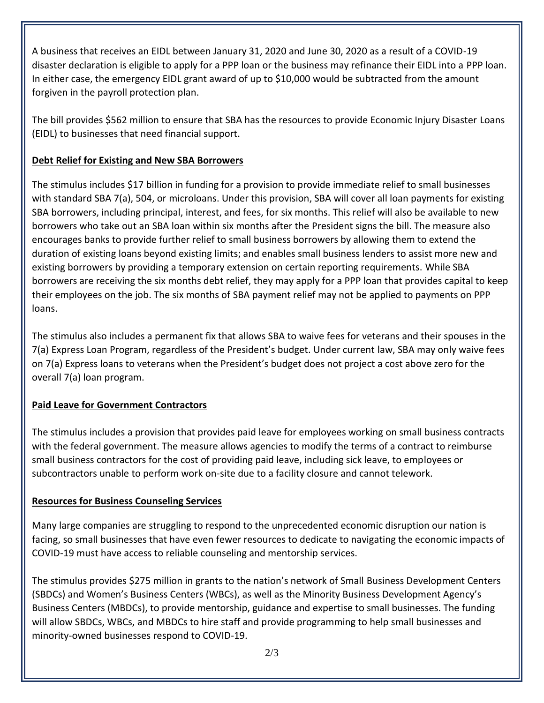A business that receives an EIDL between January 31, 2020 and June 30, 2020 as a result of a COVID-19 disaster declaration is eligible to apply for a PPP loan or the business may refinance their EIDL into a PPP loan. In either case, the emergency EIDL grant award of up to \$10,000 would be subtracted from the amount forgiven in the payroll protection plan.

The bill provides \$562 million to ensure that SBA has the resources to provide Economic Injury Disaster Loans (EIDL) to businesses that need financial support.

## **Debt Relief for Existing and New SBA Borrowers**

The stimulus includes \$17 billion in funding for a provision to provide immediate relief to small businesses with standard SBA 7(a), 504, or microloans. Under this provision, SBA will cover all loan payments for existing SBA borrowers, including principal, interest, and fees, for six months. This relief will also be available to new borrowers who take out an SBA loan within six months after the President signs the bill. The measure also encourages banks to provide further relief to small business borrowers by allowing them to extend the duration of existing loans beyond existing limits; and enables small business lenders to assist more new and existing borrowers by providing a temporary extension on certain reporting requirements. While SBA borrowers are receiving the six months debt relief, they may apply for a PPP loan that provides capital to keep their employees on the job. The six months of SBA payment relief may not be applied to payments on PPP loans.

The stimulus also includes a permanent fix that allows SBA to waive fees for veterans and their spouses in the 7(a) Express Loan Program, regardless of the President's budget. Under current law, SBA may only waive fees on 7(a) Express loans to veterans when the President's budget does not project a cost above zero for the overall 7(a) loan program.

## **Paid Leave for Government Contractors**

The stimulus includes a provision that provides paid leave for employees working on small business contracts with the federal government. The measure allows agencies to modify the terms of a contract to reimburse small business contractors for the cost of providing paid leave, including sick leave, to employees or subcontractors unable to perform work on-site due to a facility closure and cannot telework.

#### **Resources for Business Counseling Services**

Many large companies are struggling to respond to the unprecedented economic disruption our nation is facing, so small businesses that have even fewer resources to dedicate to navigating the economic impacts of COVID-19 must have access to reliable counseling and mentorship services.

The stimulus provides \$275 million in grants to the nation's network of Small Business Development Centers (SBDCs) and Women's Business Centers (WBCs), as well as the Minority Business Development Agency's Business Centers (MBDCs), to provide mentorship, guidance and expertise to small businesses. The funding will allow SBDCs, WBCs, and MBDCs to hire staff and provide programming to help small businesses and minority-owned businesses respond to COVID-19.